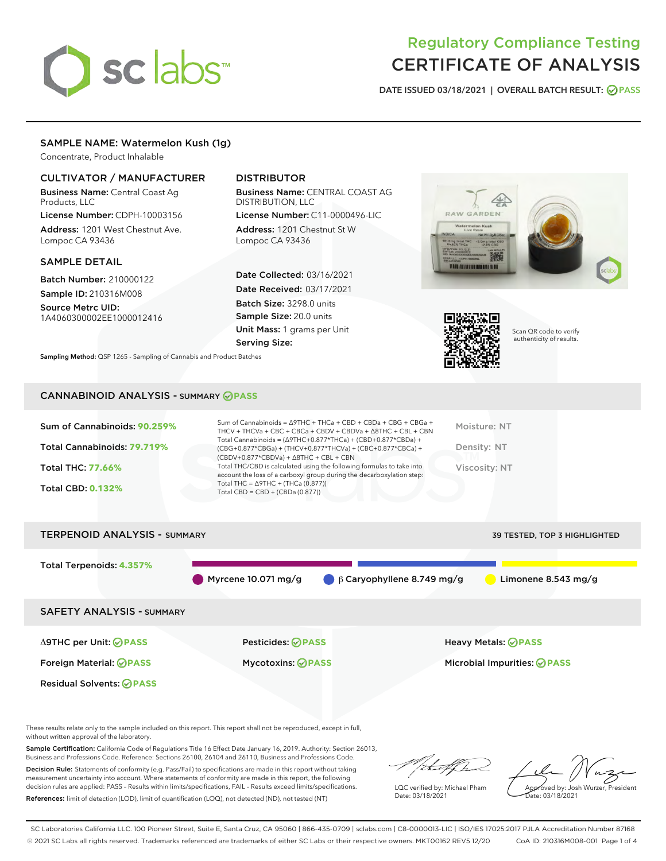# sclabs

# Regulatory Compliance Testing CERTIFICATE OF ANALYSIS

DATE ISSUED 03/18/2021 | OVERALL BATCH RESULT: @ PASS

# SAMPLE NAME: Watermelon Kush (1g)

Concentrate, Product Inhalable

# CULTIVATOR / MANUFACTURER

Business Name: Central Coast Ag Products, LLC

License Number: CDPH-10003156 Address: 1201 West Chestnut Ave. Lompoc CA 93436

#### SAMPLE DETAIL

Batch Number: 210000122 Sample ID: 210316M008

Source Metrc UID: 1A4060300002EE1000012416

# DISTRIBUTOR

Business Name: CENTRAL COAST AG DISTRIBUTION, LLC

License Number: C11-0000496-LIC Address: 1201 Chestnut St W Lompoc CA 93436

Date Collected: 03/16/2021 Date Received: 03/17/2021 Batch Size: 3298.0 units Sample Size: 20.0 units Unit Mass: 1 grams per Unit Serving Size:

Sampling Method: QSP 1265 - Sampling of Cannabis and Product Batches

# RAW GARDEN



Scan QR code to verify authenticity of results.

### CANNABINOID ANALYSIS - SUMMARY **PASS**

| Sum of Cannabinoids: 90.259% | Sum of Cannabinoids = $\triangle$ 9THC + THCa + CBD + CBDa + CBG + CBGa +<br>THCV + THCVa + CBC + CBCa + CBDV + CBDVa + $\Delta$ 8THC + CBL + CBN                                    | Moisture: NT  |
|------------------------------|--------------------------------------------------------------------------------------------------------------------------------------------------------------------------------------|---------------|
| Total Cannabinoids: 79.719%  | Total Cannabinoids = $(\Delta$ 9THC+0.877*THCa) + (CBD+0.877*CBDa) +<br>(CBG+0.877*CBGa) + (THCV+0.877*THCVa) + (CBC+0.877*CBCa) +<br>$(CBDV+0.877*CBDVa) + \Delta 8THC + CBL + CBN$ | Density: NT   |
| Total THC: 77.66%            | Total THC/CBD is calculated using the following formulas to take into<br>account the loss of a carboxyl group during the decarboxylation step:                                       | Viscosity: NT |
| <b>Total CBD: 0.132%</b>     | Total THC = $\triangle$ 9THC + (THCa (0.877))<br>Total CBD = CBD + (CBDa $(0.877)$ )                                                                                                 |               |
|                              |                                                                                                                                                                                      |               |



These results relate only to the sample included on this report. This report shall not be reproduced, except in full, without written approval of the laboratory.

Sample Certification: California Code of Regulations Title 16 Effect Date January 16, 2019. Authority: Section 26013, Business and Professions Code. Reference: Sections 26100, 26104 and 26110, Business and Professions Code.

Decision Rule: Statements of conformity (e.g. Pass/Fail) to specifications are made in this report without taking measurement uncertainty into account. Where statements of conformity are made in this report, the following decision rules are applied: PASS – Results within limits/specifications, FAIL – Results exceed limits/specifications. References: limit of detection (LOD), limit of quantification (LOQ), not detected (ND), not tested (NT)

that for

LQC verified by: Michael Pham Date: 03/18/2021

Approved by: Josh Wurzer, President ate: 03/18/2021

SC Laboratories California LLC. 100 Pioneer Street, Suite E, Santa Cruz, CA 95060 | 866-435-0709 | sclabs.com | C8-0000013-LIC | ISO/IES 17025:2017 PJLA Accreditation Number 87168 © 2021 SC Labs all rights reserved. Trademarks referenced are trademarks of either SC Labs or their respective owners. MKT00162 REV5 12/20 CoA ID: 210316M008-001 Page 1 of 4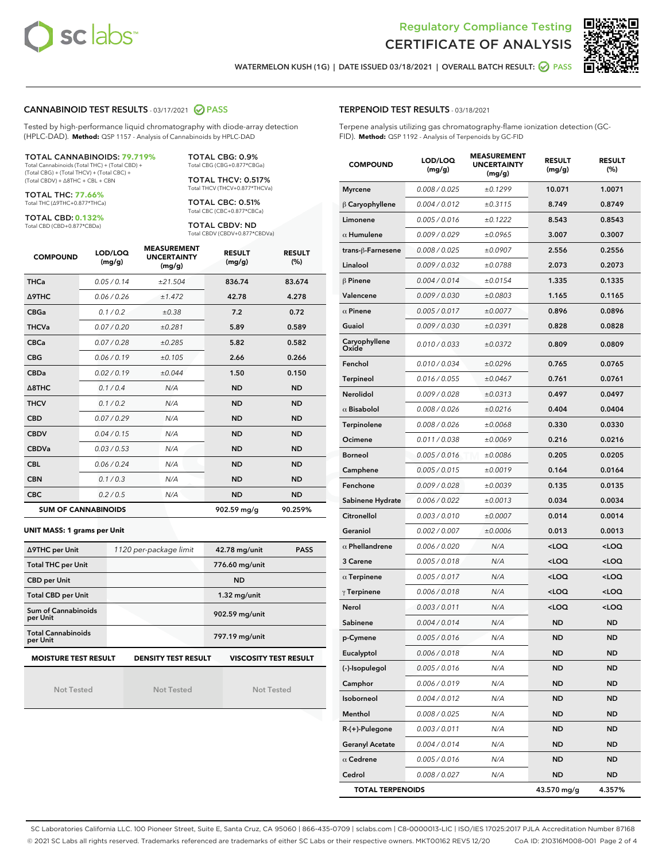



WATERMELON KUSH (1G) | DATE ISSUED 03/18/2021 | OVERALL BATCH RESULT: @ PASS

#### CANNABINOID TEST RESULTS - 03/17/2021 2 PASS

Tested by high-performance liquid chromatography with diode-array detection (HPLC-DAD). **Method:** QSP 1157 - Analysis of Cannabinoids by HPLC-DAD

#### TOTAL CANNABINOIDS: **79.719%**

Total Cannabinoids (Total THC) + (Total CBD) + (Total CBG) + (Total THCV) + (Total CBC) + (Total CBDV) + ∆8THC + CBL + CBN

TOTAL THC: **77.66%** Total THC (∆9THC+0.877\*THCa)

TOTAL CBD: **0.132%**

Total CBD (CBD+0.877\*CBDa)

TOTAL CBG: 0.9% Total CBG (CBG+0.877\*CBGa)

TOTAL THCV: 0.517% Total THCV (THCV+0.877\*THCVa)

TOTAL CBC: 0.51% Total CBC (CBC+0.877\*CBCa)

TOTAL CBDV: ND Total CBDV (CBDV+0.877\*CBDVa)

| <b>COMPOUND</b> | LOD/LOQ<br>(mg/g)          | <b>MEASUREMENT</b><br><b>UNCERTAINTY</b><br>(mg/g) | <b>RESULT</b><br>(mg/g) | <b>RESULT</b><br>(%) |
|-----------------|----------------------------|----------------------------------------------------|-------------------------|----------------------|
| <b>THCa</b>     | 0.05/0.14                  | ±21.504                                            | 836.74                  | 83.674               |
| <b>A9THC</b>    | 0.06 / 0.26                | ±1.472                                             | 42.78                   | 4.278                |
| <b>CBGa</b>     | 0.1 / 0.2                  | ±0.38                                              | 7.2                     | 0.72                 |
| <b>THCVa</b>    | 0.07/0.20                  | ±0.281                                             | 5.89                    | 0.589                |
| <b>CBCa</b>     | 0.07/0.28                  | ±0.285                                             | 5.82                    | 0.582                |
| <b>CBG</b>      | 0.06/0.19                  | ±0.105                                             | 2.66                    | 0.266                |
| <b>CBDa</b>     | 0.02/0.19                  | ±0.044                                             | 1.50                    | 0.150                |
| A8THC           | 0.1/0.4                    | N/A                                                | <b>ND</b>               | <b>ND</b>            |
| <b>THCV</b>     | 0.1/0.2                    | N/A                                                | <b>ND</b>               | <b>ND</b>            |
| <b>CBD</b>      | 0.07/0.29                  | N/A                                                | <b>ND</b>               | <b>ND</b>            |
| <b>CBDV</b>     | 0.04 / 0.15                | N/A                                                | <b>ND</b>               | <b>ND</b>            |
| <b>CBDVa</b>    | 0.03/0.53                  | N/A                                                | <b>ND</b>               | <b>ND</b>            |
| <b>CBL</b>      | 0.06 / 0.24                | N/A                                                | <b>ND</b>               | <b>ND</b>            |
| <b>CBN</b>      | 0.1/0.3                    | N/A                                                | <b>ND</b>               | <b>ND</b>            |
| <b>CBC</b>      | 0.2 / 0.5                  | N/A                                                | <b>ND</b>               | <b>ND</b>            |
|                 | <b>SUM OF CANNABINOIDS</b> |                                                    | 902.59 mg/g             | 90.259%              |

#### **UNIT MASS: 1 grams per Unit**

| ∆9THC per Unit                        | 1120 per-package limit     | 42.78 mg/unit<br><b>PASS</b> |
|---------------------------------------|----------------------------|------------------------------|
| <b>Total THC per Unit</b>             |                            | 776.60 mg/unit               |
| <b>CBD per Unit</b>                   |                            | <b>ND</b>                    |
| <b>Total CBD per Unit</b>             |                            | $1.32$ mg/unit               |
| Sum of Cannabinoids<br>per Unit       |                            | 902.59 mg/unit               |
| <b>Total Cannabinoids</b><br>per Unit |                            | 797.19 mg/unit               |
| <b>MOISTURE TEST RESULT</b>           | <b>DENSITY TEST RESULT</b> | <b>VISCOSITY TEST RESULT</b> |

Not Tested

Not Tested

Not Tested

| TERPENOID TEST RESULTS - 03/18/2021 |  |
|-------------------------------------|--|
|-------------------------------------|--|

Terpene analysis utilizing gas chromatography-flame ionization detection (GC-FID). **Method:** QSP 1192 - Analysis of Terpenoids by GC-FID

| <b>COMPOUND</b>         | LOD/LOQ<br>(mg/g) | <b>MEASUREMENT</b><br><b>UNCERTAINTY</b><br>(mg/g) | <b>RESULT</b><br>(mg/g)                         | <b>RESULT</b><br>(%) |
|-------------------------|-------------------|----------------------------------------------------|-------------------------------------------------|----------------------|
| <b>Myrcene</b>          | 0.008 / 0.025     | ±0.1299                                            | 10.071                                          | 1.0071               |
| $\beta$ Caryophyllene   | 0.004 / 0.012     | ±0.3115                                            | 8.749                                           | 0.8749               |
| Limonene                | 0.005 / 0.016     | ±0.1222                                            | 8.543                                           | 0.8543               |
| $\alpha$ Humulene       | 0.009 / 0.029     | ±0.0965                                            | 3.007                                           | 0.3007               |
| trans-ß-Farnesene       | 0.008 / 0.025     | ±0.0907                                            | 2.556                                           | 0.2556               |
| Linalool                | 0.009 / 0.032     | ±0.0788                                            | 2.073                                           | 0.2073               |
| $\beta$ Pinene          | 0.004 / 0.014     | ±0.0154                                            | 1.335                                           | 0.1335               |
| Valencene               | 0.009 / 0.030     | ±0.0803                                            | 1.165                                           | 0.1165               |
| $\alpha$ Pinene         | 0.005 / 0.017     | ±0.0077                                            | 0.896                                           | 0.0896               |
| Guaiol                  | 0.009 / 0.030     | ±0.0391                                            | 0.828                                           | 0.0828               |
| Caryophyllene<br>Oxide  | 0.010 / 0.033     | ±0.0372                                            | 0.809                                           | 0.0809               |
| Fenchol                 | 0.010 / 0.034     | ±0.0296                                            | 0.765                                           | 0.0765               |
| Terpineol               | 0.016 / 0.055     | ±0.0467                                            | 0.761                                           | 0.0761               |
| Nerolidol               | 0.009 / 0.028     | ±0.0313                                            | 0.497                                           | 0.0497               |
| $\alpha$ Bisabolol      | 0.008 / 0.026     | ±0.0216                                            | 0.404                                           | 0.0404               |
| Terpinolene             | 0.008 / 0.026     | ±0.0068                                            | 0.330                                           | 0.0330               |
| Ocimene                 | 0.011 / 0.038     | ±0.0069                                            | 0.216                                           | 0.0216               |
| <b>Borneol</b>          | 0.005 / 0.016     | ±0.0086                                            | 0.205                                           | 0.0205               |
| Camphene                | 0.005 / 0.015     | ±0.0019                                            | 0.164                                           | 0.0164               |
| Fenchone                | 0.009 / 0.028     | ±0.0039                                            | 0.135                                           | 0.0135               |
| Sabinene Hydrate        | 0.006 / 0.022     | ±0.0013                                            | 0.034                                           | 0.0034               |
| Citronellol             | 0.003 / 0.010     | ±0.0007                                            | 0.014                                           | 0.0014               |
| Geraniol                | 0.002 / 0.007     | ±0.0006                                            | 0.013                                           | 0.0013               |
| $\alpha$ Phellandrene   | 0.006 / 0.020     | N/A                                                | <loq< th=""><th><loq< th=""></loq<></th></loq<> | <loq< th=""></loq<>  |
| 3 Carene                | 0.005 / 0.018     | N/A                                                | <loq< th=""><th><loq< th=""></loq<></th></loq<> | <loq< th=""></loq<>  |
| $\alpha$ Terpinene      | 0.005 / 0.017     | N/A                                                | <loq< th=""><th><loq< th=""></loq<></th></loq<> | <loq< th=""></loq<>  |
| $\gamma$ Terpinene      | 0.006 / 0.018     | N/A                                                | <loq< th=""><th><loq< th=""></loq<></th></loq<> | <loq< th=""></loq<>  |
| Nerol                   | 0.003 / 0.011     | N/A                                                | <loq< th=""><th><loq< th=""></loq<></th></loq<> | <loq< th=""></loq<>  |
| Sabinene                | 0.004 / 0.014     | N/A                                                | ND                                              | <b>ND</b>            |
| p-Cymene                | 0.005 / 0.016     | N/A                                                | <b>ND</b>                                       | <b>ND</b>            |
| Eucalyptol              | 0.006 / 0.018     | N/A                                                | ND                                              | ND                   |
| (-)-Isopulegol          | 0.005 / 0.016     | N/A                                                | <b>ND</b>                                       | <b>ND</b>            |
| Camphor                 | 0.006 / 0.019     | N/A                                                | ND                                              | <b>ND</b>            |
| Isoborneol              | 0.004 / 0.012     | N/A                                                | ND                                              | <b>ND</b>            |
| Menthol                 | 0.008 / 0.025     | N/A                                                | ND                                              | ND                   |
| R-(+)-Pulegone          | 0.003 / 0.011     | N/A                                                | <b>ND</b>                                       | ND                   |
| <b>Geranyl Acetate</b>  | 0.004 / 0.014     | N/A                                                | ND                                              | <b>ND</b>            |
| $\alpha$ Cedrene        | 0.005 / 0.016     | N/A                                                | ND                                              | ND                   |
| Cedrol                  | 0.008 / 0.027     | N/A                                                | ND                                              | ND                   |
| <b>TOTAL TERPENOIDS</b> |                   |                                                    | 43.570 mg/g                                     | 4.357%               |

SC Laboratories California LLC. 100 Pioneer Street, Suite E, Santa Cruz, CA 95060 | 866-435-0709 | sclabs.com | C8-0000013-LIC | ISO/IES 17025:2017 PJLA Accreditation Number 87168 © 2021 SC Labs all rights reserved. Trademarks referenced are trademarks of either SC Labs or their respective owners. MKT00162 REV5 12/20 CoA ID: 210316M008-001 Page 2 of 4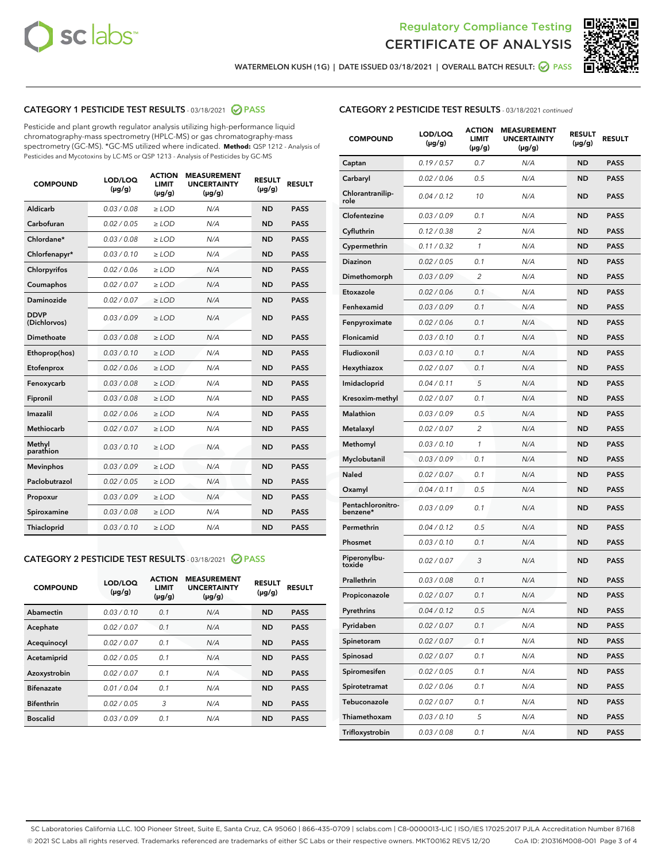



WATERMELON KUSH (1G) | DATE ISSUED 03/18/2021 | OVERALL BATCH RESULT: @ PASS

# CATEGORY 1 PESTICIDE TEST RESULTS - 03/18/2021 @ PASS

Pesticide and plant growth regulator analysis utilizing high-performance liquid chromatography-mass spectrometry (HPLC-MS) or gas chromatography-mass spectrometry (GC-MS). \*GC-MS utilized where indicated. **Method:** QSP 1212 - Analysis of Pesticides and Mycotoxins by LC-MS or QSP 1213 - Analysis of Pesticides by GC-MS

| <b>COMPOUND</b>             | LOD/LOQ<br>$(\mu g/g)$ | <b>ACTION</b><br><b>LIMIT</b><br>$(\mu g/g)$ | <b>MEASUREMENT</b><br><b>UNCERTAINTY</b><br>$(\mu g/g)$ | <b>RESULT</b><br>$(\mu g/g)$ | <b>RESULT</b> |
|-----------------------------|------------------------|----------------------------------------------|---------------------------------------------------------|------------------------------|---------------|
| Aldicarb                    | 0.03 / 0.08            | $\ge$ LOD                                    | N/A                                                     | <b>ND</b>                    | <b>PASS</b>   |
| Carbofuran                  | 0.02/0.05              | $>$ LOD                                      | N/A                                                     | <b>ND</b>                    | <b>PASS</b>   |
| Chlordane*                  | 0.03 / 0.08            | $\ge$ LOD                                    | N/A                                                     | <b>ND</b>                    | <b>PASS</b>   |
| Chlorfenapyr*               | 0.03/0.10              | $\ge$ LOD                                    | N/A                                                     | <b>ND</b>                    | <b>PASS</b>   |
| Chlorpyrifos                | 0.02 / 0.06            | $\ge$ LOD                                    | N/A                                                     | <b>ND</b>                    | <b>PASS</b>   |
| Coumaphos                   | 0.02 / 0.07            | $>$ LOD                                      | N/A                                                     | <b>ND</b>                    | <b>PASS</b>   |
| Daminozide                  | 0.02 / 0.07            | $\ge$ LOD                                    | N/A                                                     | <b>ND</b>                    | <b>PASS</b>   |
| <b>DDVP</b><br>(Dichlorvos) | 0.03/0.09              | $\ge$ LOD                                    | N/A                                                     | <b>ND</b>                    | <b>PASS</b>   |
| <b>Dimethoate</b>           | 0.03/0.08              | $\ge$ LOD                                    | N/A                                                     | <b>ND</b>                    | <b>PASS</b>   |
| Ethoprop(hos)               | 0.03/0.10              | $\ge$ LOD                                    | N/A                                                     | <b>ND</b>                    | <b>PASS</b>   |
| Etofenprox                  | 0.02/0.06              | $>$ LOD                                      | N/A                                                     | <b>ND</b>                    | <b>PASS</b>   |
| Fenoxycarb                  | 0.03 / 0.08            | $\ge$ LOD                                    | N/A                                                     | <b>ND</b>                    | <b>PASS</b>   |
| Fipronil                    | 0.03 / 0.08            | $>$ LOD                                      | N/A                                                     | <b>ND</b>                    | <b>PASS</b>   |
| Imazalil                    | 0.02 / 0.06            | $\ge$ LOD                                    | N/A                                                     | <b>ND</b>                    | <b>PASS</b>   |
| <b>Methiocarb</b>           | 0.02 / 0.07            | $\ge$ LOD                                    | N/A                                                     | <b>ND</b>                    | <b>PASS</b>   |
| Methyl<br>parathion         | 0.03/0.10              | $\ge$ LOD                                    | N/A                                                     | <b>ND</b>                    | <b>PASS</b>   |
| <b>Mevinphos</b>            | 0.03/0.09              | $>$ LOD                                      | N/A                                                     | <b>ND</b>                    | <b>PASS</b>   |
| Paclobutrazol               | 0.02 / 0.05            | $\ge$ LOD                                    | N/A                                                     | <b>ND</b>                    | <b>PASS</b>   |
| Propoxur                    | 0.03 / 0.09            | $\ge$ LOD                                    | N/A                                                     | <b>ND</b>                    | <b>PASS</b>   |
| Spiroxamine                 | 0.03 / 0.08            | $\ge$ LOD                                    | N/A                                                     | <b>ND</b>                    | <b>PASS</b>   |
| <b>Thiacloprid</b>          | 0.03/0.10              | $\ge$ LOD                                    | N/A                                                     | <b>ND</b>                    | <b>PASS</b>   |

## CATEGORY 2 PESTICIDE TEST RESULTS - 03/18/2021 @ PASS

| <b>COMPOUND</b>   | LOD/LOQ<br>$(\mu g/g)$ | <b>ACTION</b><br><b>LIMIT</b><br>$(\mu g/g)$ | <b>MEASUREMENT</b><br><b>UNCERTAINTY</b><br>$(\mu g/g)$ | <b>RESULT</b><br>$(\mu g/g)$ | <b>RESULT</b> |
|-------------------|------------------------|----------------------------------------------|---------------------------------------------------------|------------------------------|---------------|
| Abamectin         | 0.03/0.10              | 0.1                                          | N/A                                                     | <b>ND</b>                    | <b>PASS</b>   |
| Acephate          | 0.02/0.07              | 0.1                                          | N/A                                                     | <b>ND</b>                    | <b>PASS</b>   |
| Acequinocyl       | 0.02/0.07              | 0.1                                          | N/A                                                     | <b>ND</b>                    | <b>PASS</b>   |
| Acetamiprid       | 0.02/0.05              | 0.1                                          | N/A                                                     | <b>ND</b>                    | <b>PASS</b>   |
| Azoxystrobin      | 0.02/0.07              | 0.1                                          | N/A                                                     | <b>ND</b>                    | <b>PASS</b>   |
| <b>Bifenazate</b> | 0.01/0.04              | 0.1                                          | N/A                                                     | <b>ND</b>                    | <b>PASS</b>   |
| <b>Bifenthrin</b> | 0.02/0.05              | 3                                            | N/A                                                     | <b>ND</b>                    | <b>PASS</b>   |
| <b>Boscalid</b>   | 0.03/0.09              | 0.1                                          | N/A                                                     | <b>ND</b>                    | <b>PASS</b>   |

| <b>CATEGORY 2 PESTICIDE TEST RESULTS</b> - 03/18/2021 continued |
|-----------------------------------------------------------------|
|-----------------------------------------------------------------|

| <b>COMPOUND</b>               | LOD/LOQ<br>(µg/g) | <b>ACTION</b><br>LIMIT<br>$(\mu g/g)$ | <b>MEASUREMENT</b><br><b>UNCERTAINTY</b><br>(µg/g) | <b>RESULT</b><br>(µg/g) | <b>RESULT</b> |
|-------------------------------|-------------------|---------------------------------------|----------------------------------------------------|-------------------------|---------------|
| Captan                        | 0.19/0.57         | 0.7                                   | N/A                                                | ND                      | <b>PASS</b>   |
| Carbaryl                      | 0.02 / 0.06       | 0.5                                   | N/A                                                | ND                      | <b>PASS</b>   |
| Chlorantranilip-<br>role      | 0.04 / 0.12       | 10                                    | N/A                                                | ND                      | <b>PASS</b>   |
| Clofentezine                  | 0.03 / 0.09       | 0.1                                   | N/A                                                | ND                      | <b>PASS</b>   |
| Cyfluthrin                    | 0.12 / 0.38       | 2                                     | N/A                                                | ND                      | <b>PASS</b>   |
| Cypermethrin                  | 0.11 / 0.32       | 1                                     | N/A                                                | ND                      | <b>PASS</b>   |
| Diazinon                      | 0.02 / 0.05       | 0.1                                   | N/A                                                | ND                      | <b>PASS</b>   |
| Dimethomorph                  | 0.03/0.09         | 2                                     | N/A                                                | ND                      | <b>PASS</b>   |
| Etoxazole                     | 0.02 / 0.06       | 0.1                                   | N/A                                                | ND                      | <b>PASS</b>   |
| Fenhexamid                    | 0.03 / 0.09       | 0.1                                   | N/A                                                | ND                      | <b>PASS</b>   |
| Fenpyroximate                 | 0.02 / 0.06       | 0.1                                   | N/A                                                | ND                      | <b>PASS</b>   |
| Flonicamid                    | 0.03 / 0.10       | 0.1                                   | N/A                                                | ND                      | <b>PASS</b>   |
| Fludioxonil                   | 0.03 / 0.10       | 0.1                                   | N/A                                                | ND                      | <b>PASS</b>   |
| Hexythiazox                   | 0.02 / 0.07       | 0.1                                   | N/A                                                | ND                      | <b>PASS</b>   |
| Imidacloprid                  | 0.04 / 0.11       | 5                                     | N/A                                                | ND                      | <b>PASS</b>   |
| Kresoxim-methyl               | 0.02 / 0.07       | 0.1                                   | N/A                                                | ND                      | <b>PASS</b>   |
| Malathion                     | 0.03/0.09         | 0.5                                   | N/A                                                | ND                      | <b>PASS</b>   |
| Metalaxyl                     | 0.02 / 0.07       | 2                                     | N/A                                                | ND                      | <b>PASS</b>   |
| Methomyl                      | 0.03 / 0.10       | 1                                     | N/A                                                | ND                      | <b>PASS</b>   |
| Myclobutanil                  | 0.03 / 0.09       | 0.1                                   | N/A                                                | ND                      | PASS          |
| Naled                         | 0.02 / 0.07       | 0.1                                   | N/A                                                | ND                      | <b>PASS</b>   |
| Oxamyl                        | 0.04 / 0.11       | 0.5                                   | N/A                                                | ND                      | PASS          |
| Pentachloronitro-<br>benzene* | 0.03 / 0.09       | 0.1                                   | N/A                                                | ND                      | <b>PASS</b>   |
| Permethrin                    | 0.04 / 0.12       | 0.5                                   | N/A                                                | ND                      | <b>PASS</b>   |
| Phosmet                       | 0.03/0.10         | 0.1                                   | N/A                                                | ND                      | <b>PASS</b>   |
| Piperonylbu-<br>toxide        | 0.02 / 0.07       | 3                                     | N/A                                                | ND                      | PASS          |
| Prallethrin                   | 0.03 / 0.08       | 0.1                                   | N/A                                                | ND                      | PASS          |
| Propiconazole                 | 0.02 / 0.07       | 0.1                                   | N/A                                                | ND                      | <b>PASS</b>   |
| Pyrethrins                    | 0.04 / 0.12       | 0.5                                   | N/A                                                | ND                      | <b>PASS</b>   |
| Pyridaben                     | 0.02 / 0.07       | 0.1                                   | N/A                                                | ND                      | <b>PASS</b>   |
| Spinetoram                    | 0.02 / 0.07       | 0.1                                   | N/A                                                | ND                      | <b>PASS</b>   |
| Spinosad                      | 0.02 / 0.07       | 0.1                                   | N/A                                                | ND                      | PASS          |
| Spiromesifen                  | 0.02 / 0.05       | 0.1                                   | N/A                                                | ND                      | <b>PASS</b>   |
| Spirotetramat                 | 0.02 / 0.06       | 0.1                                   | N/A                                                | ND                      | <b>PASS</b>   |
| Tebuconazole                  | 0.02 / 0.07       | 0.1                                   | N/A                                                | ND                      | <b>PASS</b>   |
| Thiamethoxam                  | 0.03 / 0.10       | 5                                     | N/A                                                | ND                      | <b>PASS</b>   |
| Trifloxystrobin               | 0.03 / 0.08       | 0.1                                   | N/A                                                | <b>ND</b>               | <b>PASS</b>   |

SC Laboratories California LLC. 100 Pioneer Street, Suite E, Santa Cruz, CA 95060 | 866-435-0709 | sclabs.com | C8-0000013-LIC | ISO/IES 17025:2017 PJLA Accreditation Number 87168 © 2021 SC Labs all rights reserved. Trademarks referenced are trademarks of either SC Labs or their respective owners. MKT00162 REV5 12/20 CoA ID: 210316M008-001 Page 3 of 4